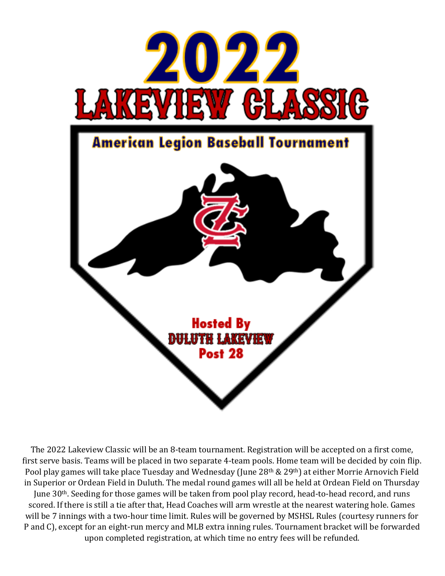

The 2022 Lakeview Classic will be an 8-team tournament. Registration will be accepted on a first come, first serve basis. Teams will be placed in two separate 4-team pools. Home team will be decided by coin flip. Pool play games will take place Tuesday and Wednesday (June 28th & 29th) at either Morrie Arnovich Field in Superior or Ordean Field in Duluth. The medal round games will all be held at Ordean Field on Thursday June 30<sup>th</sup>. Seeding for those games will be taken from pool play record, head-to-head record, and runs scored. If there is still a tie after that, Head Coaches will arm wrestle at the nearest watering hole. Games will be 7 innings with a two-hour time limit. Rules will be governed by MSHSL Rules (courtesy runners for P and C), except for an eight-run mercy and MLB extra inning rules. Tournament bracket will be forwarded upon completed registration, at which time no entry fees will be refunded.